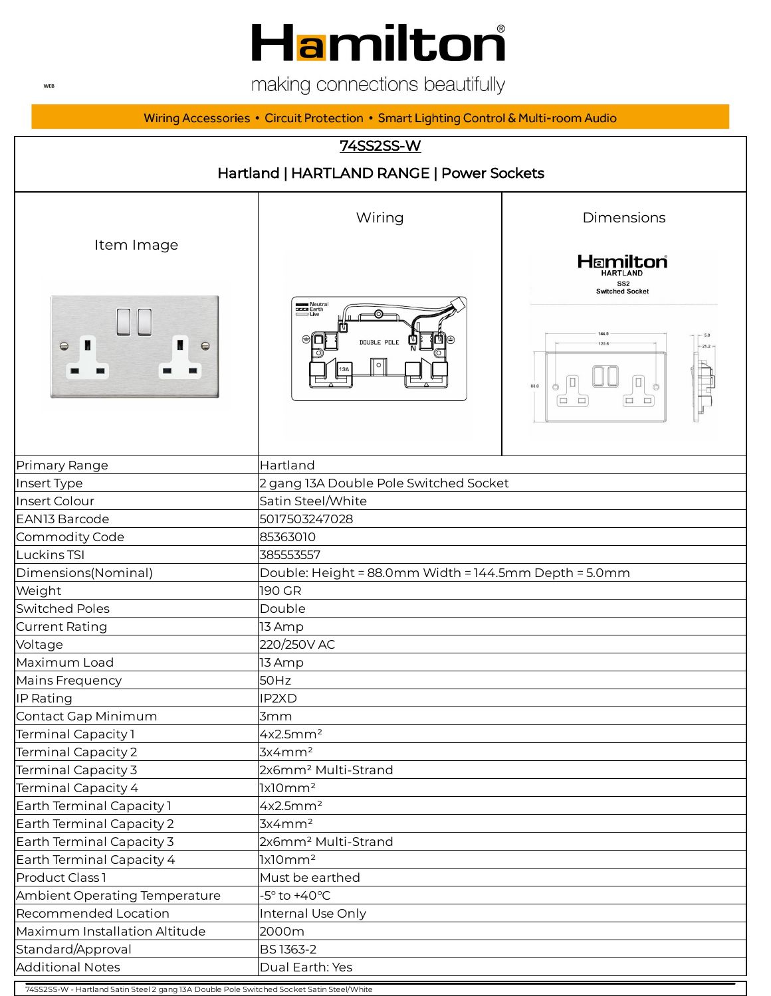## **Hamilton**

making connections beautifully

Wiring Accessories • Circuit Protection • Smart Lighting Control & Multi-room Audio



Standard/Approval BS 1363-2 Additional Notes **Dual Earth: Yes** 

74SS2SS-W - Hartland Satin Steel 2 gang 13A Double Pole Switched Socket Satin Steel/White

**WEB**